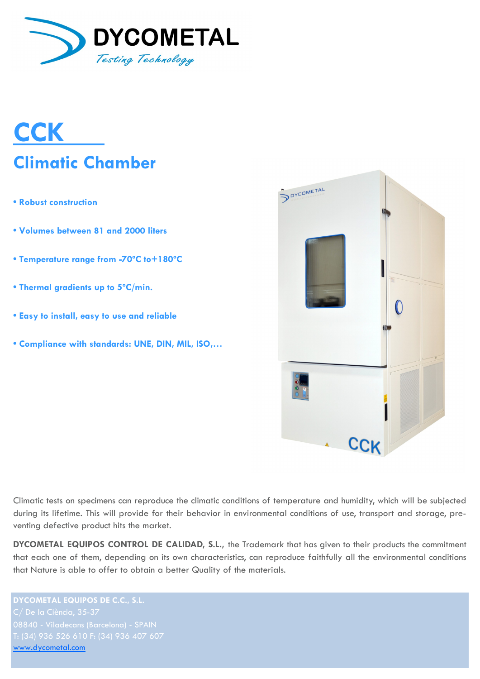

# **CCK Climatic Chamber**

- **Robust construction**
- **Volumes between 81 and 2000 liters**
- **Temperature range from -70ºC to+180ºC**
- **Thermal gradients up to 5ºC/min.**
- **Easy to install, easy to use and reliable**
- **Compliance with standards: UNE, DIN, MIL, ISO,…**



Climatic tests on specimens can reproduce the climatic conditions of temperature and humidity, which will be subjected during its lifetime. This will provide for their behavior in environmental conditions of use, transport and storage, preventing defective product hits the market.

**DYCOMETAL EQUIPOS CONTROL DE CALIDAD, S.L.,** the Trademark that has given to their products the commitment that each one of them, depending on its own characteristics, can reproduce faithfully all the environmental conditions that Nature is able to offer to obtain a better Quality of the materials.

**DYCOMETAL EQUIPOS DE C.C., S.L.** [www.dycometal.com](http://www.dycometal.com/)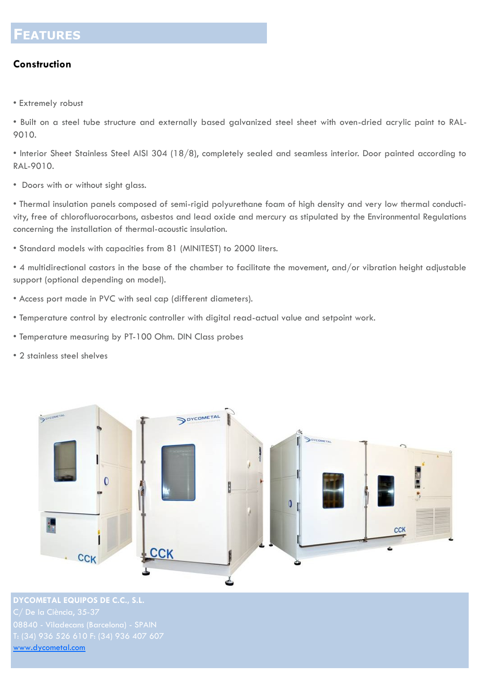### **FEATURES**

#### **Construction**

• Extremely robust

• Built on a steel tube structure and externally based galvanized steel sheet with oven-dried acrylic paint to RAL-9010.

• Interior Sheet Stainless Steel AISI 304 (18/8), completely sealed and seamless interior. Door painted according to RAL-9010.

• Doors with or without sight glass.

• Thermal insulation panels composed of semi-rigid polyurethane foam of high density and very low thermal conductivity, free of chlorofluorocarbons, asbestos and lead oxide and mercury as stipulated by the Environmental Regulations concerning the installation of thermal-acoustic insulation.

• Standard models with capacities from 81 (MINITEST) to 2000 liters.

• 4 multidirectional castors in the base of the chamber to facilitate the movement, and/or vibration height adjustable support (optional depending on model).

- Access port made in PVC with seal cap (different diameters).
- Temperature control by electronic controller with digital read-actual value and setpoint work.
- Temperature measuring by PT-100 Ohm. DIN Class probes
- 2 stainless steel shelves



**DYCOMETAL EQUIPOS DE C.C., S.L.** [www.dycometal.com](http://www.dycometal.com/)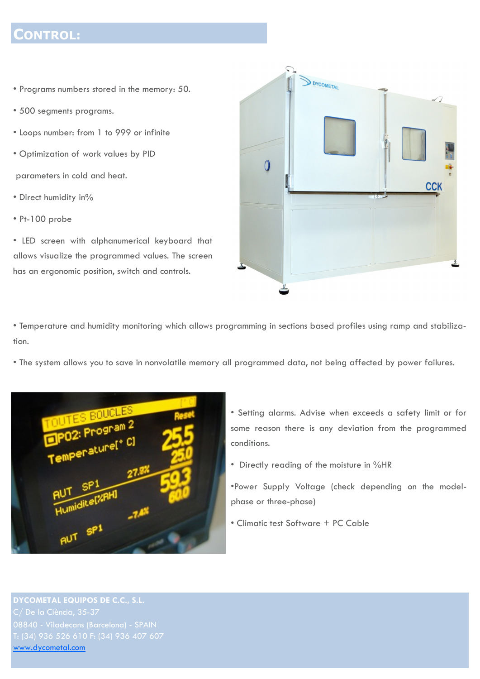#### **CONTROL:**

- Programs numbers stored in the memory: 50.
- 500 segments programs.
- Loops number: from 1 to 999 or infinite
- Optimization of work values by PID

parameters in cold and heat.

- Direct humidity in%
- Pt-100 probe

• LED screen with alphanumerical keyboard that allows visualize the programmed values. The screen has an ergonomic position, switch and controls.



• Temperature and humidity monitoring which allows programming in sections based profiles using ramp and stabilization.

• The system allows you to save in nonvolatile memory all programmed data, not being affected by power failures.



- Setting alarms. Advise when exceeds a safety limit or for some reason there is any deviation from the programmed conditions.
- Directly reading of the moisture in %HR

•Power Supply Voltage (check depending on the modelphase or three-phase)

• Climatic test Software + PC Cable

**DYCOMETAL EQUIPOS DE C.C., S.L.** [www.dycometal.com](http://www.dycometal.com/)